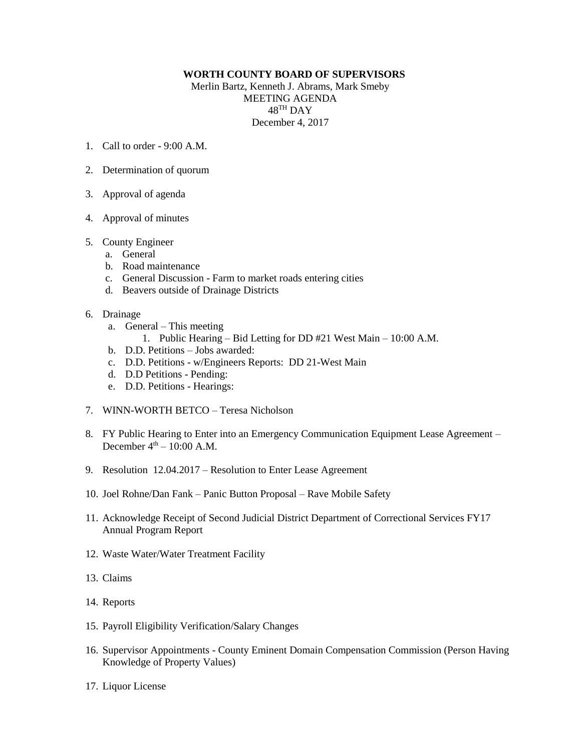## **WORTH COUNTY BOARD OF SUPERVISORS**

Merlin Bartz, Kenneth J. Abrams, Mark Smeby MEETING AGENDA  $48^{\mathrm{TH}}$  DAY December 4, 2017

- 1. Call to order  $9.00 \text{ A M}$
- 2. Determination of quorum
- 3. Approval of agenda
- 4. Approval of minutes
- 5. County Engineer
	- a. General
	- b. Road maintenance
	- c. General Discussion Farm to market roads entering cities
	- d. Beavers outside of Drainage Districts
- 6. Drainage
	- a. General This meeting
		- 1. Public Hearing Bid Letting for DD #21 West Main 10:00 A.M.
	- b. D.D. Petitions Jobs awarded:
	- c. D.D. Petitions w/Engineers Reports: DD 21-West Main
	- d. D.D Petitions Pending:
	- e. D.D. Petitions Hearings:
- 7. WINN-WORTH BETCO Teresa Nicholson
- 8. FY Public Hearing to Enter into an Emergency Communication Equipment Lease Agreement December  $4^{th} - 10:00$  A.M.
- 9. Resolution 12.04.2017 Resolution to Enter Lease Agreement
- 10. Joel Rohne/Dan Fank Panic Button Proposal Rave Mobile Safety
- 11. Acknowledge Receipt of Second Judicial District Department of Correctional Services FY17 Annual Program Report
- 12. Waste Water/Water Treatment Facility
- 13. Claims
- 14. Reports
- 15. Payroll Eligibility Verification/Salary Changes
- 16. Supervisor Appointments County Eminent Domain Compensation Commission (Person Having Knowledge of Property Values)
- 17. Liquor License